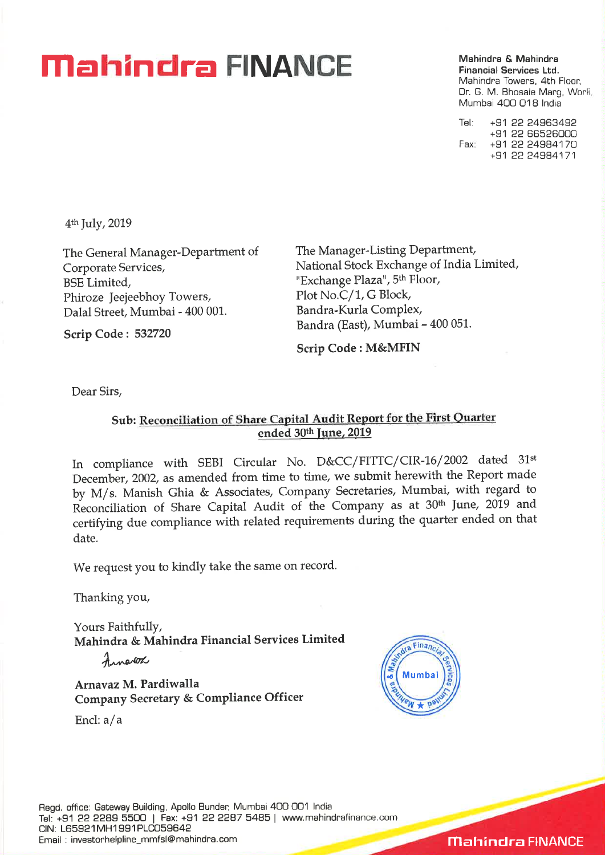## **Mahindra <b>PINANCE** Mahindra & Mahindra **C**

**Financial Services Ltd.**  Mahindra Towers, 4th Floor, Dr. G. M. Bhosale Marg, Worli Mumbai 400 018 India

Tel: +91 22 24963492 +91 22 66526000 Fax +91 22 24984170 +91 22 24984171

4th July, 2019

The General Manager-Department of Corporate Services, BSE Limited, Phiroze Jeejeebhoy Towers, Dalai Street, Mumbai - 400 001.

The Manager-Listing Department, National Stock Exchange of India Limited, "Exchange Plaza", 5<sup>th</sup> Floor, Plot No.C/1, G Block, Bandra-Kuria Complex, Bandra (East), Mumbai - 400 051.

**Scrip Code : 532720** 

**Scrip Code : M&MFIN** 

Dear Sirs,

#### **Sub: Reconciliation of Share Capital Audit Report for the First Quarter ended 30th June, 2019**

In compliance with SEBI Circular No. D&CC/FITTC/ CIR-16/ 2002 dated 31st December, 2002, as amended from time to time, we submit herewith the Report made by M/s. Manish Ghia *Sr* Associates, Company Secretaries, Mumbai, with regard to Reconciliation of Share Capital Audit of the Company as at 30th June, 2019 and certifying due compliance with related requirements during the quarter ended on that date.

We request you to kindly take the same on record.

Thanking you,

Yours Faithfully, **Mahindra & Mahindra Financial Services Limited** 

 $Arne02$ 

**Arnavaz M. Pardiwalla Company Secretary & Compliance Officer** 

End: a/a



**Mahindra FINANCE**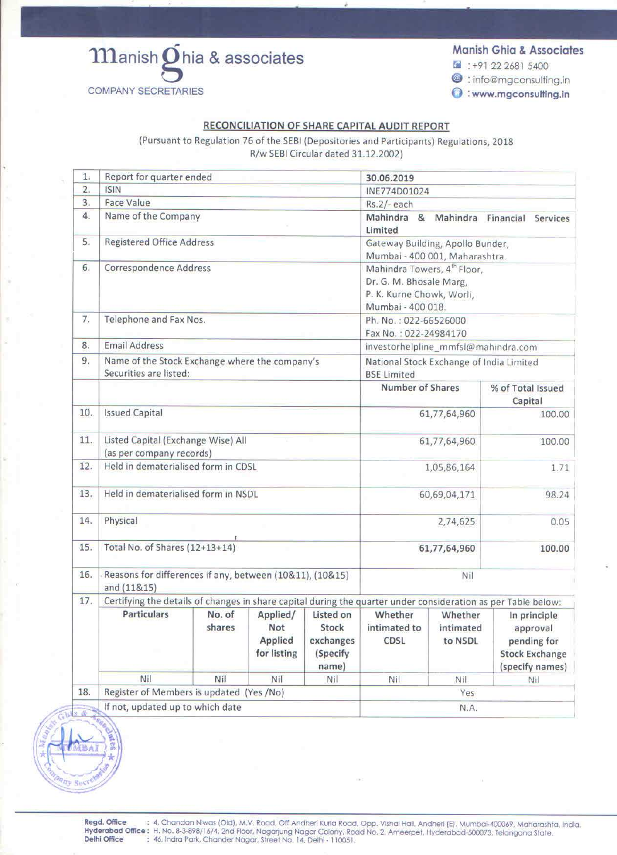# Manish Ohia & associates **COMPANY SECRETARIES**

**SITE RUEN** 

### **Manish Ghia & Associates**

- $4: +91 22 2681 5400$
- @:info@mgconsulting.in
- www.mgconsulting.in

#### RECONCILIATION OF SHARE CAPITAL AUDIT REPORT

(Pursuant to Regulation 76 of the SEBI (Depositories and Participants) Regulations, 2018 R/w SEBI Circular dated 31.12.2002)

| 1.               | Report for quarter ended<br>30.06.2019                                                                        |                      |                                                                    |                        |                                                                |                        |                                      |  |  |  |
|------------------|---------------------------------------------------------------------------------------------------------------|----------------------|--------------------------------------------------------------------|------------------------|----------------------------------------------------------------|------------------------|--------------------------------------|--|--|--|
| $\overline{2}$ . | ISIN                                                                                                          |                      |                                                                    |                        | INE774D01024                                                   |                        |                                      |  |  |  |
| 3.               |                                                                                                               | <b>Face Value</b>    |                                                                    |                        | Rs.2/-each                                                     |                        |                                      |  |  |  |
| 4.               | Name of the Company                                                                                           |                      |                                                                    |                        | Mahindra &<br>Limited                                          | Mahindra               | Financial<br>Services                |  |  |  |
| 5.               | <b>Registered Office Address</b>                                                                              |                      | Gateway Building, Apollo Bunder,<br>Mumbai - 400 001, Maharashtra. |                        |                                                                |                        |                                      |  |  |  |
| 6.               | <b>Correspondence Address</b>                                                                                 |                      |                                                                    |                        | Mahindra Towers, 4 <sup>th</sup> Floor,                        |                        |                                      |  |  |  |
|                  |                                                                                                               |                      |                                                                    |                        | Dr. G. M. Bhosale Marg,                                        |                        |                                      |  |  |  |
|                  |                                                                                                               |                      | P. K. Kurne Chowk, Worli,                                          |                        |                                                                |                        |                                      |  |  |  |
|                  |                                                                                                               |                      | Mumbai - 400 018.                                                  |                        |                                                                |                        |                                      |  |  |  |
| 7.               | Telephone and Fax Nos.                                                                                        |                      |                                                                    |                        | Ph. No.: 022-66526000                                          |                        |                                      |  |  |  |
|                  |                                                                                                               |                      |                                                                    |                        | Fax No.: 022-24984170                                          |                        |                                      |  |  |  |
| 8.               |                                                                                                               | <b>Email Address</b> |                                                                    |                        |                                                                |                        | investorhelpline_mmfsl@mahindra.com  |  |  |  |
| 9.               | Name of the Stock Exchange where the company's<br>Securities are listed:                                      |                      |                                                                    |                        | National Stock Exchange of India Limited<br><b>BSE Limited</b> |                        |                                      |  |  |  |
|                  |                                                                                                               |                      |                                                                    |                        | Number of Shares                                               |                        | % of Total Issued<br>Capital         |  |  |  |
| 10.              | <b>Issued Capital</b>                                                                                         |                      |                                                                    | 61,77,64,960           | 100.00                                                         |                        |                                      |  |  |  |
| 11.              | Listed Capital (Exchange Wise) All                                                                            |                      |                                                                    |                        |                                                                | 61,77,64,960<br>100.00 |                                      |  |  |  |
|                  | (as per company records)                                                                                      |                      |                                                                    |                        |                                                                |                        |                                      |  |  |  |
| 12.              | Held in dematerialised form in CDSL                                                                           |                      |                                                                    | 1,05,86,164            |                                                                | 1.71                   |                                      |  |  |  |
| 13.              | Held in dematerialised form in NSDL                                                                           |                      |                                                                    | 60,69,04,171           |                                                                | 98.24                  |                                      |  |  |  |
| 14.              | Physical                                                                                                      |                      |                                                                    | 2,74,625<br>0.05       |                                                                |                        |                                      |  |  |  |
| 15.              | Total No. of Shares (12+13+14)                                                                                |                      |                                                                    |                        | 61,77,64,960<br>100.00                                         |                        |                                      |  |  |  |
|                  |                                                                                                               |                      |                                                                    |                        |                                                                |                        |                                      |  |  |  |
| 16.              | Reasons for differences if any, between (10&11), (10&15)<br>Nil<br>and (11&15)                                |                      |                                                                    |                        |                                                                |                        |                                      |  |  |  |
| 17.              | Certifying the details of changes in share capital during the quarter under consideration as per Table below: |                      |                                                                    |                        |                                                                |                        |                                      |  |  |  |
|                  | <b>Particulars</b>                                                                                            | No. of               | Applied/                                                           | Listed on              | Whether                                                        | Whether                | In principle                         |  |  |  |
|                  |                                                                                                               | shares               | <b>Not</b>                                                         | Stock                  | intimated to                                                   | intimated              | approval                             |  |  |  |
|                  |                                                                                                               |                      | Applied<br>for listing                                             | exchanges<br>(Specify) | CDSL                                                           | to NSDL                | pending for<br><b>Stock Exchange</b> |  |  |  |
|                  |                                                                                                               |                      |                                                                    |                        |                                                                |                        |                                      |  |  |  |
|                  |                                                                                                               |                      |                                                                    | name)                  |                                                                |                        | (specify names)                      |  |  |  |
|                  | Nil                                                                                                           | Nil                  | Nil                                                                | Nil                    | Nil                                                            | <b>Nil</b>             | Nil                                  |  |  |  |
| 18.              | Register of Members is updated (Yes /No)                                                                      | Yes                  |                                                                    |                        |                                                                |                        |                                      |  |  |  |
| 2 是              | If not, updated up to which date                                                                              | N.A.                 |                                                                    |                        |                                                                |                        |                                      |  |  |  |
|                  |                                                                                                               |                      |                                                                    |                        |                                                                |                        |                                      |  |  |  |

Regd. Office : 4, Chandan Niwas (Old), M.V. Road, Off Andheri Kurla Road, Opp. Vishal Hall, Andheri (E), Mumbai-400069, Maharashta, India.<br>Hyderabad Office: H. No. 8-3-898/16/4, 2nd Floor, Nagarjung Nagar Colony, Road No. Delhi Office : 46, Indra Park, Chander Nagar, Street No. 14, Delhi - 110051.

 $(0)$